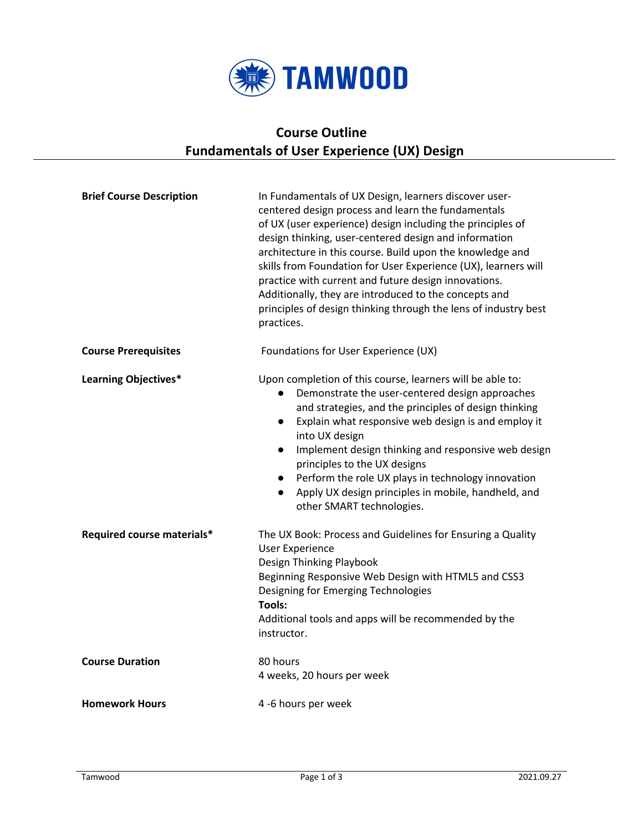

# **Course Outline Fundamentals of User Experience (UX) Design**

| <b>Brief Course Description</b> | In Fundamentals of UX Design, learners discover user-<br>centered design process and learn the fundamentals<br>of UX (user experience) design including the principles of<br>design thinking, user-centered design and information<br>architecture in this course. Build upon the knowledge and<br>skills from Foundation for User Experience (UX), learners will<br>practice with current and future design innovations.<br>Additionally, they are introduced to the concepts and<br>principles of design thinking through the lens of industry best<br>practices. |  |
|---------------------------------|---------------------------------------------------------------------------------------------------------------------------------------------------------------------------------------------------------------------------------------------------------------------------------------------------------------------------------------------------------------------------------------------------------------------------------------------------------------------------------------------------------------------------------------------------------------------|--|
| <b>Course Prerequisites</b>     | Foundations for User Experience (UX)                                                                                                                                                                                                                                                                                                                                                                                                                                                                                                                                |  |
| <b>Learning Objectives*</b>     | Upon completion of this course, learners will be able to:<br>Demonstrate the user-centered design approaches<br>and strategies, and the principles of design thinking<br>Explain what responsive web design is and employ it<br>$\bullet$<br>into UX design<br>Implement design thinking and responsive web design<br>$\bullet$<br>principles to the UX designs<br>Perform the role UX plays in technology innovation<br>$\bullet$<br>Apply UX design principles in mobile, handheld, and<br>$\bullet$<br>other SMART technologies.                                 |  |
| Required course materials*      | The UX Book: Process and Guidelines for Ensuring a Quality<br><b>User Experience</b><br>Design Thinking Playbook<br>Beginning Responsive Web Design with HTML5 and CSS3<br>Designing for Emerging Technologies<br><b>Tools:</b><br>Additional tools and apps will be recommended by the<br>instructor.                                                                                                                                                                                                                                                              |  |
| <b>Course Duration</b>          | 80 hours<br>4 weeks, 20 hours per week                                                                                                                                                                                                                                                                                                                                                                                                                                                                                                                              |  |
| <b>Homework Hours</b>           | 4 -6 hours per week                                                                                                                                                                                                                                                                                                                                                                                                                                                                                                                                                 |  |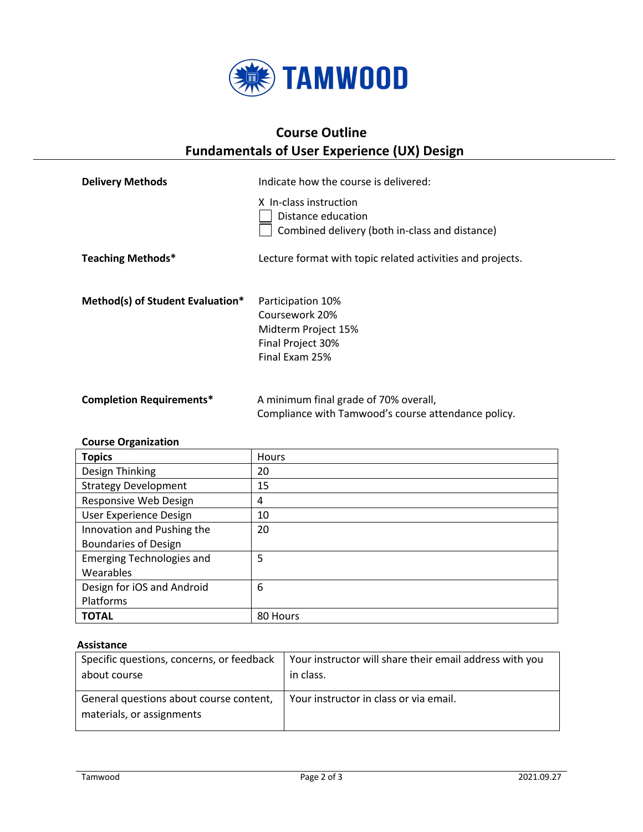

### **Course Outline Fundamentals of User Experience (UX) Design**

| <b>Delivery Methods</b>          | Indicate how the course is delivered:                                                             |
|----------------------------------|---------------------------------------------------------------------------------------------------|
|                                  | X In-class instruction<br>Distance education<br>Combined delivery (both in-class and distance)    |
| <b>Teaching Methods*</b>         | Lecture format with topic related activities and projects.                                        |
| Method(s) of Student Evaluation* | Participation 10%<br>Coursework 20%<br>Midterm Project 15%<br>Final Project 30%<br>Final Exam 25% |
| <b>Completion Requirements*</b>  | A minimum final grade of 70% overall,<br>Compliance with Tamwood's course attendance policy.      |

#### **Course Organization**

| <b>Topics</b>                    | <b>Hours</b> |
|----------------------------------|--------------|
| Design Thinking                  | 20           |
| <b>Strategy Development</b>      | 15           |
| Responsive Web Design            | 4            |
| User Experience Design           | 10           |
| Innovation and Pushing the       | 20           |
| <b>Boundaries of Design</b>      |              |
| <b>Emerging Technologies and</b> | 5            |
| Wearables                        |              |
| Design for iOS and Android       | 6            |
| Platforms                        |              |
| <b>TOTAL</b>                     | 80 Hours     |

### **Assistance**

| Specific questions, concerns, or feedback                            | Your instructor will share their email address with you |
|----------------------------------------------------------------------|---------------------------------------------------------|
| about course                                                         | in class.                                               |
| General questions about course content,<br>materials, or assignments | Your instructor in class or via email.                  |